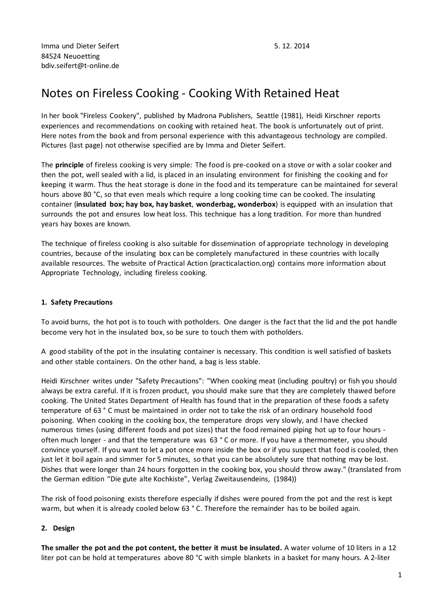# Notes on Fireless Cooking - Cooking With Retained Heat

In her book "Fireless Cookery", published by Madrona Publishers, Seattle (1981), Heidi Kirschner reports experiences and recommendations on cooking with retained heat. The book is unfortunately out of print. Here notes from the book and from personal experience with this advantageous technology are compiled. Pictures (last page) not otherwise specified are by Imma and Dieter Seifert.

The **principle** of fireless cooking is very simple: The food is pre-cooked on a stove or with a solar cooker and then the pot, well sealed with a lid, is placed in an insulating environment for finishing the cooking and for keeping it warm. Thus the heat storage is done in the food and its temperature can be maintained for several hours above 80 °C, so that even meals which require a long cooking time can be cooked. The insulating container (**insulated box; hay box, hay basket**, **wonderbag, wonderbox**) is equipped with an insulation that surrounds the pot and ensures low heat loss. This technique has a long tradition. For more than hundred years hay boxes are known.

The technique of fireless cooking is also suitable for dissemination of appropriate technology in developing countries, because of the insulating box can be completely manufactured in these countries with locally available resources. The website of Practical Action (practicalaction.org) contains more information about Appropriate Technology, including fireless cooking.

# **1. Safety Precautions**

To avoid burns, the hot pot is to touch with potholders. One danger is the fact that the lid and the pot handle become very hot in the insulated box, so be sure to touch them with potholders.

A good stability of the pot in the insulating container is necessary. This condition is well satisfied of baskets and other stable containers. On the other hand, a bag is less stable.

Heidi Kirschner writes under "Safety Precautions": "When cooking meat (including poultry) or fish you should always be extra careful. If it is frozen product, you should make sure that they are completely thawed before cooking. The United States Department of Health has found that in the preparation of these foods a safety temperature of 63 ° C must be maintained in order not to take the risk of an ordinary household food poisoning. When cooking in the cooking box, the temperature drops very slowly, and I have checked numerous times (using different foods and pot sizes) that the food remained piping hot up to four hours often much longer - and that the temperature was 63 ° C or more. If you have a thermometer, you should convince yourself. If you want to let a pot once more inside the box or if you suspect that food is cooled, then just let it boil again and simmer for 5 minutes, so that you can be absolutely sure that nothing may be lost. Dishes that were longer than 24 hours forgotten in the cooking box, you should throw away." (translated from the German edition "Die gute alte Kochkiste", Verlag Zweitausendeins, (1984))

The risk of food poisoning exists therefore especially if dishes were poured from the pot and the rest is kept warm, but when it is already cooled below 63 ° C. Therefore the remainder has to be boiled again.

## **2. Design**

**The smaller the pot and the pot content, the better it must be insulated.** A water volume of 10 liters in a 12 liter pot can be hold at temperatures above 80 °C with simple blankets in a basket for many hours. A 2-liter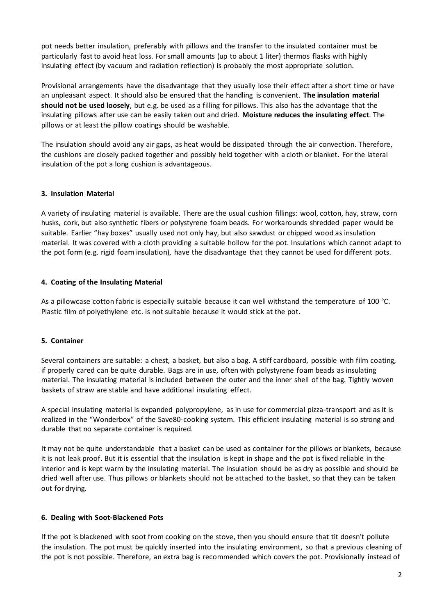pot needs better insulation, preferably with pillows and the transfer to the insulated container must be particularly fastto avoid heat loss. For small amounts (up to about 1 liter) thermos flasks with highly insulating effect (by vacuum and radiation reflection) is probably the most appropriate solution.

Provisional arrangements have the disadvantage that they usually lose their effect after a short time or have an unpleasant aspect. It should also be ensured that the handling is convenient. **The insulation material should not be used loosely**, but e.g. be used as a filling for pillows. This also has the advantage that the insulating pillows after use can be easily taken out and dried. **Moisture reduces the insulating effect**. The pillows or at least the pillow coatings should be washable.

The insulation should avoid any air gaps, as heat would be dissipated through the air convection. Therefore, the cushions are closely packed together and possibly held together with a cloth or blanket. For the lateral insulation of the pot a long cushion is advantageous.

# **3. Insulation Material**

A variety of insulating material is available. There are the usual cushion fillings: wool, cotton, hay, straw, corn husks, cork, but also synthetic fibers or polystyrene foam beads. For workarounds shredded paper would be suitable. Earlier "hay boxes" usually used not only hay, but also sawdust or chipped wood as insulation material. It was covered with a cloth providing a suitable hollow for the pot. Insulations which cannot adapt to the pot form (e.g. rigid foam insulation), have the disadvantage that they cannot be used for different pots.

# **4. Coating of the Insulating Material**

As a pillowcase cotton fabric is especially suitable because it can well withstand the temperature of 100 °C. Plastic film of polyethylene etc. is not suitable because it would stick at the pot.

## **5. Container**

Several containers are suitable: a chest, a basket, but also a bag. A stiff cardboard, possible with film coating, if properly cared can be quite durable. Bags are in use, often with polystyrene foam beads as insulating material. The insulating material is included between the outer and the inner shell of the bag. Tightly woven baskets of straw are stable and have additional insulating effect.

A special insulating material is expanded polypropylene, as in use for commercial pizza-transport and as it is realized in the "Wonderbox" of the Save80-cooking system. This efficient insulating material is so strong and durable that no separate container is required.

It may not be quite understandable that a basket can be used as container for the pillows or blankets, because it is not leak proof. But it is essential that the insulation is kept in shape and the pot is fixed reliable in the interior and is kept warm by the insulating material. The insulation should be as dry as possible and should be dried well after use. Thus pillows or blankets should not be attached to the basket, so that they can be taken out for drying.

## **6. Dealing with Soot-Blackened Pots**

If the pot is blackened with soot from cooking on the stove, then you should ensure that tit doesn't pollute the insulation. The pot must be quickly inserted into the insulating environment, so that a previous cleaning of the pot is not possible. Therefore, an extra bag is recommended which covers the pot. Provisionally instead of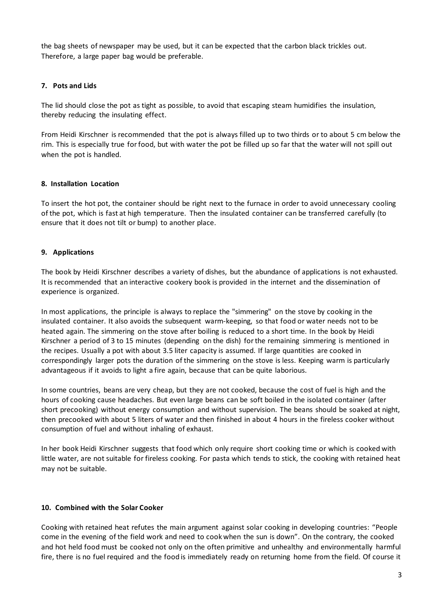the bag sheets of newspaper may be used, but it can be expected that the carbon black trickles out. Therefore, a large paper bag would be preferable.

## **7. Pots and Lids**

The lid should close the pot as tight as possible, to avoid that escaping steam humidifies the insulation, thereby reducing the insulating effect.

From Heidi Kirschner is recommended that the pot is always filled up to two thirds or to about 5 cm below the rim. This is especially true forfood, but with water the pot be filled up so far that the water will not spill out when the pot is handled.

# **8. Installation Location**

To insert the hot pot, the container should be right next to the furnace in order to avoid unnecessary cooling of the pot, which is fast at high temperature. Then the insulated container can be transferred carefully (to ensure that it does not tilt or bump) to another place.

# **9. Applications**

The book by Heidi Kirschner describes a variety of dishes, but the abundance of applications is not exhausted. It is recommended that an interactive cookery book is provided in the internet and the dissemination of experience is organized.

In most applications, the principle is always to replace the "simmering" on the stove by cooking in the insulated container. It also avoids the subsequent warm-keeping, so that food or water needs not to be heated again. The simmering on the stove after boiling is reduced to a short time. In the book by Heidi Kirschner a period of 3 to 15 minutes (depending on the dish) forthe remaining simmering is mentioned in the recipes. Usually a pot with about 3.5 liter capacity is assumed. If large quantities are cooked in correspondingly larger pots the duration of the simmering on the stove is less. Keeping warm is particularly advantageous if it avoids to light a fire again, because that can be quite laborious.

In some countries, beans are very cheap, but they are not cooked, because the cost of fuel is high and the hours of cooking cause headaches. But even large beans can be soft boiled in the isolated container (after short precooking) without energy consumption and without supervision. The beans should be soaked at night, then precooked with about 5 liters of water and then finished in about 4 hours in the fireless cooker without consumption of fuel and without inhaling of exhaust.

In her book Heidi Kirschner suggests that food which only require short cooking time or which is cooked with little water, are not suitable for fireless cooking. For pasta which tends to stick, the cooking with retained heat may not be suitable.

## **10. Combined with the Solar Cooker**

Cooking with retained heat refutes the main argument against solar cooking in developing countries: "People come in the evening of the field work and need to cook when the sun is down". On the contrary, the cooked and hot held food must be cooked not only on the often primitive and unhealthy and environmentally harmful fire, there is no fuel required and the food is immediately ready on returning home from the field. Of course it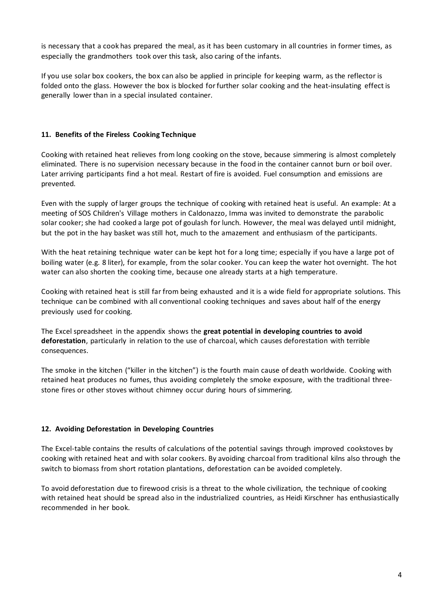is necessary that a cook has prepared the meal, as it has been customary in all countries in former times, as especially the grandmothers took over this task, also caring of the infants.

If you use solar box cookers, the box can also be applied in principle for keeping warm, as the reflector is folded onto the glass. However the box is blocked for further solar cooking and the heat-insulating effect is generally lower than in a special insulated container.

# **11. Benefits of the Fireless Cooking Technique**

Cooking with retained heat relieves from long cooking on the stove, because simmering is almost completely eliminated. There is no supervision necessary because in the food in the container cannot burn or boil over. Later arriving participants find a hot meal. Restart of fire is avoided. Fuel consumption and emissions are prevented.

Even with the supply of larger groups the technique of cooking with retained heat is useful. An example: At a meeting of SOS Children's Village mothers in Caldonazzo, Imma was invited to demonstrate the parabolic solar cooker; she had cooked a large pot of goulash for lunch. However, the meal was delayed until midnight, but the pot in the hay basket was still hot, much to the amazement and enthusiasm of the participants.

With the heat retaining technique water can be kept hot for a long time; especially if you have a large pot of boiling water (e.g. 8 liter), for example, from the solar cooker. You can keep the water hot overnight. The hot water can also shorten the cooking time, because one already starts at a high temperature.

Cooking with retained heat is still far from being exhausted and it is a wide field for appropriate solutions. This technique can be combined with all conventional cooking techniques and saves about half of the energy previously used for cooking.

The Excel spreadsheet in the appendix shows the **great potential in developing countries to avoid deforestation**, particularly in relation to the use of charcoal, which causes deforestation with terrible consequences.

The smoke in the kitchen ("killer in the kitchen") is the fourth main cause of death worldwide. Cooking with retained heat produces no fumes, thus avoiding completely the smoke exposure, with the traditional threestone fires or other stoves without chimney occur during hours of simmering.

## **12. Avoiding Deforestation in Developing Countries**

The Excel-table contains the results of calculations of the potential savings through improved cookstoves by cooking with retained heat and with solar cookers. By avoiding charcoal from traditional kilns also through the switch to biomass from short rotation plantations, deforestation can be avoided completely.

To avoid deforestation due to firewood crisis is a threat to the whole civilization, the technique of cooking with retained heat should be spread also in the industrialized countries, as Heidi Kirschner has enthusiastically recommended in her book.